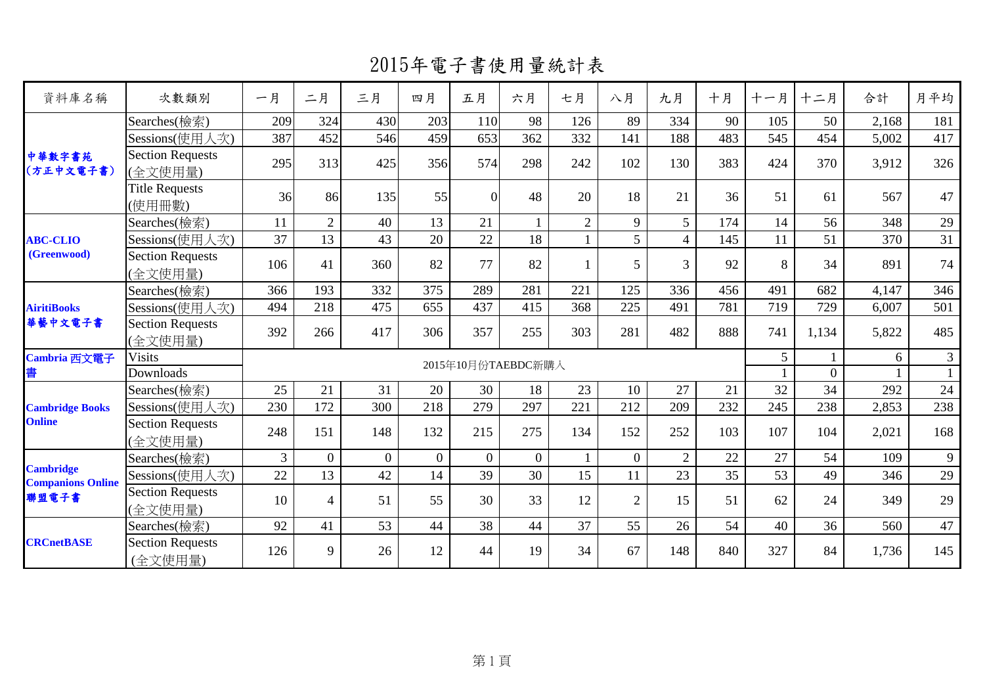2015年電子書使用量統計表

| 資料庫名稱                                        | 次數類別                               | 一月  | 二月                 | 三月             | 四月               | 五月               | 六月             | 七月             | 八月             | 九月             | 十月  | 十一月 | 十二月      | 合計    | 月平均            |
|----------------------------------------------|------------------------------------|-----|--------------------|----------------|------------------|------------------|----------------|----------------|----------------|----------------|-----|-----|----------|-------|----------------|
| 中華數字書苑<br>(方正中文電子書)                          | Searches(檢索)                       | 209 | 324                | 430            | 203              | 110              | 98             | 126            | 89             | 334            | 90  | 105 | 50       | 2,168 | 181            |
|                                              | Sessions(使用人次)                     | 387 | 452                | 546            | 459              | 653              | 362            | 332            | 141            | 188            | 483 | 545 | 454      | 5,002 | 417            |
|                                              | <b>Section Requests</b><br>(全文使用量) | 295 | 313                | 425            | 356              | 574              | 298            | 242            | 102            | 130            | 383 | 424 | 370      | 3,912 | 326            |
|                                              | <b>Title Requests</b><br>(使用冊數)    | 36  | 86                 | 135            | 55               | $\overline{0}$   | 48             | 20             | 18             | 21             | 36  | 51  | 61       | 567   | 47             |
|                                              | Searches(檢索)                       | 11  | $\overline{2}$     | 40             | 13               | 21               |                | $\overline{2}$ | 9              | $\mathfrak{S}$ | 174 | 14  | 56       | 348   | 29             |
| <b>ABC-CLIO</b>                              | Sessions(使用人次)                     | 37  | 13                 | 43             | 20               | 22               | 18             |                | 5              | $\overline{4}$ | 145 | 11  | 51       | 370   | 31             |
| (Greenwood)                                  | <b>Section Requests</b><br>(全文使用量) | 106 | 41                 | 360            | 82               | 77               | 82             |                | 5              | $\overline{3}$ | 92  | 8   | 34       | 891   | 74             |
| <b>AiritiBooks</b><br>華藝中文電子書                | Searches(檢索)                       | 366 | 193                | 332            | 375              | 289              | 281            | 221            | 125            | 336            | 456 | 491 | 682      | 4,147 | 346            |
|                                              | Sessions(使用人次)                     | 494 | 218                | 475            | 655              | 437              | 415            | 368            | 225            | 491            | 781 | 719 | 729      | 6,007 | 501            |
|                                              | <b>Section Requests</b><br>(全文使用量) | 392 | 266                | 417            | 306              | 357              | 255            | 303            | 281            | 482            | 888 | 741 | 1,134    | 5,822 | 485            |
| Cambria 西文電子                                 | <b>Visits</b>                      |     | 2015年10月份TAEBDC新購入 |                |                  |                  |                |                |                |                |     |     |          | 6     | $\overline{3}$ |
| 書                                            | Downloads                          |     |                    |                |                  |                  |                |                |                |                |     |     | $\theta$ |       | $\mathbf{1}$   |
|                                              | Searches(檢索)                       | 25  | 21                 | 31             | 20               | 30               | 18             | 23             | 10             | 27             | 21  | 32  | 34       | 292   | 24             |
| <b>Cambridge Books</b>                       | Sessions(使用人次)                     | 230 | 172                | 300            | 218              | 279              | 297            | 221            | 212            | 209            | 232 | 245 | 238      | 2,853 | 238            |
| <b>Online</b>                                | <b>Section Requests</b><br>(全文使用量) | 248 | 151                | 148            | 132              | 215              | 275            | 134            | 152            | 252            | 103 | 107 | 104      | 2,021 | 168            |
|                                              | Searches(檢索)                       | 3   | $\boldsymbol{0}$   | $\overline{0}$ | $\boldsymbol{0}$ | $\boldsymbol{0}$ | $\overline{0}$ |                | $\overline{0}$ | $\overline{2}$ | 22  | 27  | 54       | 109   | 9              |
| <b>Cambridge</b><br><b>Companions Online</b> | Sessions(使用人次)                     | 22  | 13                 | 42             | 14               | 39               | 30             | 15             | 11             | 23             | 35  | 53  | 49       | 346   | 29             |
| 聯盟電子書                                        | <b>Section Requests</b><br>(全文使用量) | 10  | $\overline{4}$     | 51             | 55               | 30               | 33             | 12             | $\overline{2}$ | 15             | 51  | 62  | 24       | 349   | 29             |
|                                              | Searches(檢索)                       | 92  | 41                 | 53             | 44               | 38               | 44             | 37             | 55             | 26             | 54  | 40  | 36       | 560   | 47             |
| <b>CRCnetBASE</b>                            | <b>Section Requests</b><br>(全文使用量) | 126 | 9                  | 26             | 12               | 44               | 19             | 34             | 67             | 148            | 840 | 327 | 84       | 1,736 | 145            |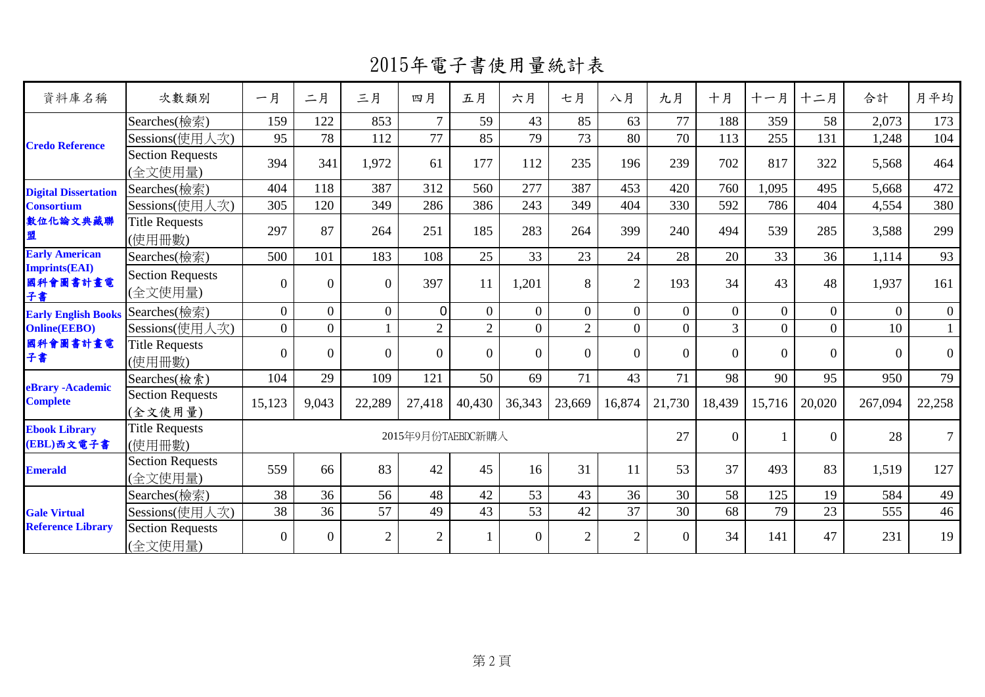2015年電子書使用量統計表

| 資料庫名稱                                           | 次數類別                               | 一月             | 二月               | 三月             | 四月                | 五月             | 六月             | 七月             | 八月             | 九月       | 十月       | 十一月      | 十二月      | 合計           | 月平均            |
|-------------------------------------------------|------------------------------------|----------------|------------------|----------------|-------------------|----------------|----------------|----------------|----------------|----------|----------|----------|----------|--------------|----------------|
|                                                 | Searches(檢索)                       | 159            | 122              | 853            | $\tau$            | 59             | 43             | 85             | 63             | 77       | 188      | 359      | 58       | 2,073        | 173            |
| <b>Credo Reference</b>                          | Sessions(使用人次)                     | 95             | 78               | 112            | 77                | 85             | 79             | 73             | 80             | 70       | 113      | 255      | 131      | 1,248        | 104            |
|                                                 | Section Requests<br>(全文使用量)        | 394            | 341              | 1,972          | 61                | 177            | 112            | 235            | 196            | 239      | 702      | 817      | 322      | 5,568        | 464            |
| <b>Digital Dissertation</b>                     | Searches(檢索)                       | 404            | 118              | 387            | 312               | 560            | 277            | 387            | 453            | 420      | 760      | 1,095    | 495      | 5,668        | 472            |
| <b>Consortium</b>                               | Sessions(使用人次)                     | 305            | 120              | 349            | 286               | 386            | 243            | 349            | 404            | 330      | 592      | 786      | 404      | 4,554        | 380            |
| 數位化論文典藏聯<br>盟                                   | <b>Title Requests</b><br>(使用冊數)    | 297            | 87               | 264            | 251               | 185            | 283            | 264            | 399            | 240      | 494      | 539      | 285      | 3,588        | 299            |
| <b>Early American</b>                           | Searches(檢索)                       | 500            | 101              | 183            | 108               | 25             | 33             | 23             | 24             | 28       | 20       | 33       | 36       | 1,114        | 93             |
| <b>Imprints(EAI)</b><br>國科會圖書計畫電<br>子書          | <b>Section Requests</b><br>(全文使用量) | $\theta$       | $\boldsymbol{0}$ | $\Omega$       | 397               | 11             | 1,201          | 8              | $\overline{2}$ | 193      | 34       | 43       | 48       | 1,937        | 161            |
| <b>Early English Books</b>                      | Searches(檢索)                       | $\overline{0}$ | $\mathbf{0}$     | $\overline{0}$ | $\Omega$          | $\overline{0}$ | $\overline{0}$ | $\Omega$       | $\theta$       | $\theta$ | $\Omega$ | $\Omega$ | $\Omega$ | $\mathbf{0}$ | $\overline{0}$ |
| <b>Online(EEBO)</b>                             | Sessions(使用人次)                     | $\theta$       | $\overline{0}$   |                | $\overline{2}$    | $\overline{2}$ | $\overline{0}$ | $\overline{2}$ | $\Omega$       | $\Omega$ | 3        | $\Omega$ | $\Omega$ | 10           | 1              |
| 國科會圖書計畫電<br>子書                                  | <b>Title Requests</b><br>(使用冊數)    | $\theta$       | $\theta$         | $\Omega$       | $\Omega$          | $\Omega$       | $\Omega$       | $\Omega$       | $\Omega$       | $\Omega$ | $\Omega$ | $\Omega$ | $\Omega$ | $\Omega$     | $\overline{0}$ |
|                                                 | Searches(檢索)                       | 104            | 29               | 109            | 121               | 50             | 69             | 71             | 43             | 71       | 98       | 90       | 95       | 950          | 79             |
| <b>eBrary</b> - Academic<br>Complete            | <b>Section Requests</b><br>(全文使用量) | 15,123         | 9,043            | 22,289         | 27,418            | 40,430         | 36,343         | 23,669         | 16,874         | 21,730   | 18,439   | 15,716   | 20,020   | 267,094      | 22,258         |
| <b>Ebook Library</b><br>(EBL)西文電子書              | <b>Title Requests</b><br>(使用冊數)    |                |                  |                | 2015年9月份TAEBDC新購入 |                |                |                |                | 27       | $\Omega$ |          | $\Omega$ | 28           | 7 <sup>7</sup> |
| <b>Emerald</b>                                  | <b>Section Requests</b><br>(全文使用量) | 559            | 66               | 83             | 42                | 45             | 16             | 31             | 11             | 53       | 37       | 493      | 83       | 1,519        | 127            |
|                                                 | Searches(檢索)                       | 38             | 36               | 56             | 48                | 42             | 53             | 43             | 36             | 30       | 58       | 125      | 19       | 584          | 49             |
| <b>Gale Virtual</b><br><b>Reference Library</b> | Sessions(使用人次)                     | 38             | 36               | 57             | 49                | 43             | 53             | 42             | 37             | 30       | 68       | 79       | 23       | 555          | 46             |
|                                                 | <b>Section Requests</b><br>(全文使用量) | $\mathbf{0}$   | $\mathbf{0}$     | $\overline{2}$ | $\overline{2}$    |                | $\overline{0}$ | $\overline{2}$ | $\overline{2}$ | $\Omega$ | 34       | 141      | 47       | 231          | 19             |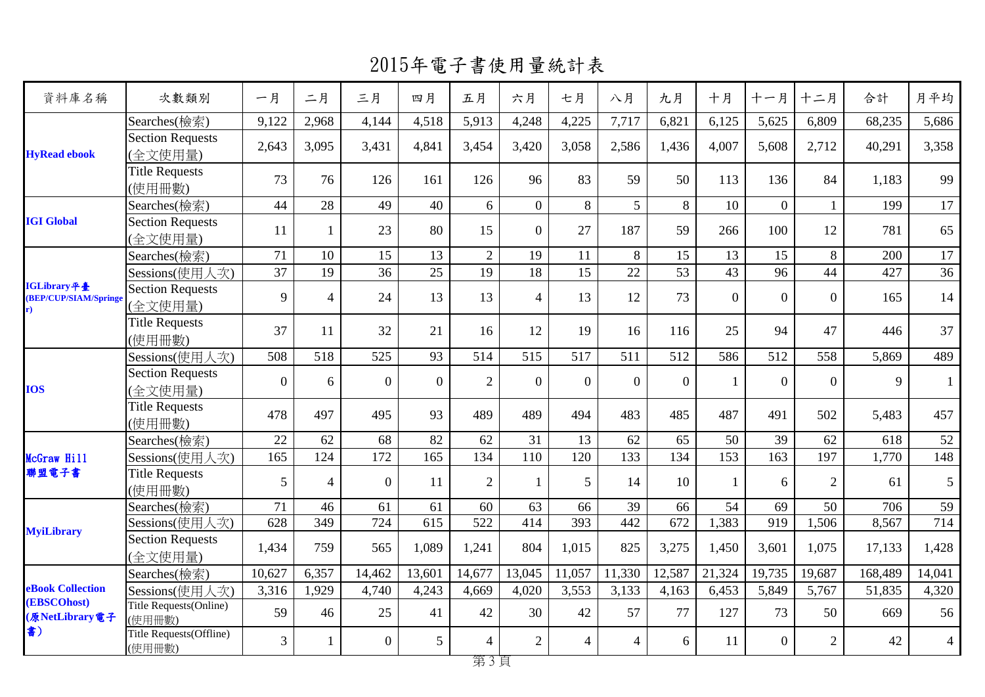2015年電子書使用量統計表

| 資料庫名稱                                      | 次數類別                               | 一月             | 二月             | 三月             | 四月             | 五月               | 六月             | 七月             | 八月             | 九月               | 十月             | 十一月      | 十二月            | 合計      | 月平均            |
|--------------------------------------------|------------------------------------|----------------|----------------|----------------|----------------|------------------|----------------|----------------|----------------|------------------|----------------|----------|----------------|---------|----------------|
|                                            | Searches(檢索)                       | 9,122          | 2,968          | 4,144          | 4,518          | 5,913            | 4,248          | 4,225          | 7,717          | 6,821            | 6,125          | 5,625    | 6,809          | 68,235  | 5,686          |
| <b>HyRead ebook</b>                        | <b>Section Requests</b><br>(全文使用量) | 2,643          | 3,095          | 3,431          | 4,841          | 3,454            | 3,420          | 3,058          | 2,586          | 1,436            | 4,007          | 5,608    | 2,712          | 40,291  | 3,358          |
|                                            | <b>Title Requests</b><br>(使用冊數)    | 73             | 76             | 126            | 161            | 126              | 96             | 83             | 59             | 50               | 113            | 136      | 84             | 1,183   | 99             |
|                                            | Searches(檢索)                       | 44             | 28             | 49             | 40             | 6                | $\overline{0}$ | 8              | 5 <sup>1</sup> | 8                | 10             | $\theta$ | $\mathbf{1}$   | 199     | 17             |
| <b>IGI Global</b>                          | Section Requests<br>(全文使用量)        | 11             | -1             | 23             | 80             | 15               | $\overline{0}$ | 27             | 187            | 59               | 266            | 100      | 12             | 781     | 65             |
|                                            | Searches(檢索)                       | 71             | 10             | 15             | 13             | 2                | 19             | 11             | 8              | 15               | 13             | 15       | 8              | 200     | 17             |
|                                            | Sessions(使用人次)                     | 37             | 19             | 36             | 25             | 19               | 18             | 15             | 22             | 53               | 43             | 96       | 44             | 427     | 36             |
| IGLibrary平臺<br>(BEP/CUP/SIAM/Springe<br>r) | Section Requests<br>(全文使用量)        | 9              | $\overline{4}$ | 24             | 13             | 13               | $\overline{4}$ | 13             | 12             | 73               | $\overline{0}$ | $\theta$ | $\overline{0}$ | 165     | 14             |
|                                            | <b>Title Requests</b><br>(使用冊數)    | 37             | 11             | 32             | 21             | 16               | 12             | 19             | 16             | 116              | 25             | 94       | 47             | 446     | 37             |
| <b>IOS</b>                                 | Sessions(使用人次)                     | 508            | 518            | 525            | 93             | 514              | 515            | 517            | 511            | 512              | 586            | 512      | 558            | 5,869   | 489            |
|                                            | <b>Section Requests</b><br>(全文使用量) | $\overline{0}$ | 6              | $\overline{0}$ | $\overline{0}$ | $\overline{2}$   | $\overline{0}$ | $\overline{0}$ | $\Omega$       | $\Omega$         |                | $\Omega$ | $\Omega$       | 9       | 1              |
|                                            | <b>Title Requests</b><br>(使用冊數)    | 478            | 497            | 495            | 93             | 489              | 489            | 494            | 483            | 485              | 487            | 491      | 502            | 5,483   | 457            |
|                                            | Searches(檢索)                       | 22             | 62             | 68             | 82             | 62               | 31             | 13             | 62             | 65               | 50             | 39       | 62             | 618     | 52             |
| McGraw Hill                                | Sessions(使用人次)                     | 165            | 124            | 172            | 165            | 134              | 110            | 120            | 133            | 134              | 153            | 163      | 197            | 1,770   | 148            |
| 聯盟電子書                                      | <b>Title Requests</b><br>(使用冊數)    | 5              | $\overline{4}$ | $\overline{0}$ | 11             | $\overline{2}$   | $\mathbf{1}$   | 5              | 14             | 10               |                | 6        | $\overline{2}$ | 61      | 5              |
|                                            | Searches(檢索)                       | 71             | 46             | 61             | 61             | 60               | 63             | 66             | 39             | 66               | 54             | 69       | 50             | 706     | 59             |
| <b>MyiLibrary</b>                          | Sessions(使用人次)                     | 628            | 349            | 724            | 615            | $\overline{522}$ | 414            | 393            | 442            | $\overline{672}$ | 1,383          | 919      | 1,506          | 8,567   | 714            |
|                                            | <b>Section Requests</b><br>(全文使用量) | 1,434          | 759            | 565            | 1,089          | 1,241            | 804            | 1,015          | 825            | 3,275            | 1,450          | 3,601    | 1,075          | 17,133  | 1,428          |
|                                            | Searches(檢索)                       | 10,627         | 6,357          | 14,462         | 13,601         | 14,677           | 13,045         | 11,057         | 11,330         | 12,587           | 21,324         | 19,735   | 19,687         | 168,489 | 14,041         |
| <b>eBook Collection</b>                    | Sessions(使用人次)                     | 3,316          | 1,929          | 4,740          | 4,243          | 4,669            | 4,020          | 3,553          | 3,133          | 4,163            | 6,453          | 5,849    | 5,767          | 51,835  | 4,320          |
| (EBSCOhost)<br>(原NetLibrary電子<br>書)        | Title Requests(Online)<br>(使用冊數)   | 59             | 46             | 25             | 41             | 42               | 30             | 42             | 57             | 77               | 127            | 73       | 50             | 669     | 56             |
|                                            | Title Requests(Offline)<br>(使用冊數)  | $\overline{3}$ | -1             | $\overline{0}$ | 5              | $\overline{4}$   | $\overline{2}$ | $\overline{4}$ | $\overline{4}$ | 6                | 11             | $\Omega$ | $\overline{2}$ | 42      | $\overline{4}$ |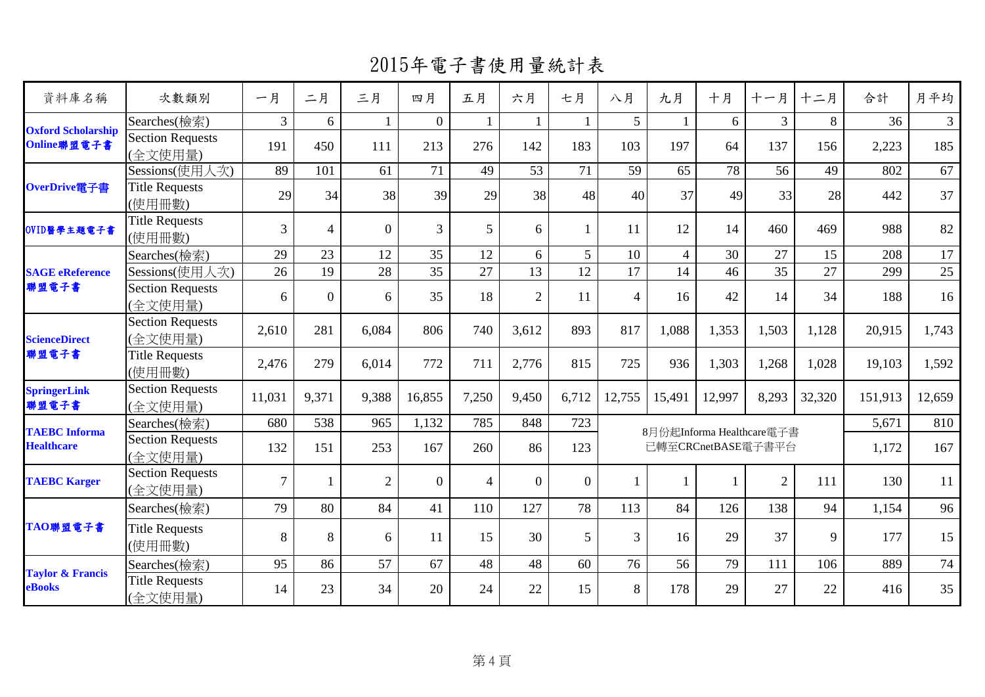2015年電子書使用量統計表

| 資料庫名稱                                     | 次數類別                               | 一月             | 二月             | 三月             | 四月             | 五月             | 六月             | 七月             | 八月             | 九月                                              | 十月     | 十一月            | 十二月    | 合計      | 月平均            |
|-------------------------------------------|------------------------------------|----------------|----------------|----------------|----------------|----------------|----------------|----------------|----------------|-------------------------------------------------|--------|----------------|--------|---------|----------------|
|                                           | Searches(檢索)                       | $\mathfrak{Z}$ | 6              |                | $\theta$       | $\mathbf{1}$   | $\mathbf{1}$   | 1              | 5 <sup>5</sup> |                                                 | 6      | 3              | 8      | 36      | 3 <sup>7</sup> |
| <b>Oxford Scholarship</b><br>Online聯盟電子書  | <b>Section Requests</b><br>(全文使用量) | 191            | 450            | 111            | 213            | 276            | 142            | 183            | 103            | 197                                             | 64     | 137            | 156    | 2,223   | 185            |
|                                           | Sessions(使用人次)                     | 89             | 101            | 61             | 71             | 49             | 53             | 71             | 59             | 65                                              | 78     | 56             | 49     | 802     | 67             |
| OverDrive電子書                              | <b>Title Requests</b><br>(使用冊數)    | 29             | 34             | 38             | 39             | 29             | 38             | 48             | 40             | 37                                              | 49     | 33             | 28     | 442     | 37             |
| OVID醫學主題電子書                               | <b>Title Requests</b><br>(使用冊數)    | $\overline{3}$ | $\overline{4}$ | $\Omega$       | $\overline{3}$ | 5              | 6              |                | 11             | 12                                              | 14     | 460            | 469    | 988     | 82             |
|                                           | Searches(檢索)                       | 29             | 23             | 12             | 35             | 12             | 6              | 5              | 10             | $\overline{4}$                                  | 30     | 27             | 15     | 208     | 17             |
| <b>SAGE</b> eReference                    | Sessions(使用人次)                     | 26             | 19             | 28             | 35             | 27             | 13             | 12             | 17             | 14                                              | 46     | 35             | 27     | 299     | 25             |
| 聯盟電子書                                     | <b>Section Requests</b><br>(全文使用量) | 6              | $\overline{0}$ | 6              | 35             | 18             | $\overline{2}$ | 11             | $\overline{4}$ | 16                                              | 42     | 14             | 34     | 188     | 16             |
| <b>ScienceDirect</b>                      | <b>Section Requests</b><br>(全文使用量) | 2,610          | 281            | 6,084          | 806            | 740            | 3,612          | 893            | 817            | 1,088                                           | 1,353  | 1,503          | 1,128  | 20,915  | 1,743          |
| 聯盟電子書                                     | <b>Title Requests</b><br>(使用冊數)    | 2,476          | 279            | 6,014          | 772            | 711            | 2,776          | 815            | 725            | 936                                             | 1,303  | 1,268          | 1,028  | 19,103  | 1,592          |
| <b>SpringerLink</b><br>聯盟電子書              | <b>Section Requests</b><br>(全文使用量) | 11,031         | 9,371          | 9,388          | 16,855         | 7,250          | 9,450          | 6,712          | 12,755         | 15,491                                          | 12,997 | 8,293          | 32,320 | 151,913 | 12,659         |
|                                           | Searches(檢索)                       | 680            | 538            | 965            | 1,132          | 785            | 848            | 723            |                |                                                 |        | 5,671          | 810    |         |                |
| <b>TAEBC</b> Informa<br><b>Healthcare</b> | <b>Section Requests</b><br>(全文使用量) | 132            | 151            | 253            | 167            | 260            | 86             | 123            |                | 8月份起Informa Healthcare電子書<br>已轉至CRCnetBASE電子書平台 |        | 1,172          | 167    |         |                |
| <b>TAEBC Karger</b>                       | <b>Section Requests</b><br>(全文使用量) | $\tau$         | 1              | $\overline{2}$ | $\theta$       | $\overline{4}$ | $\overline{0}$ | $\overline{0}$ |                |                                                 |        | $\overline{2}$ | 111    | 130     | 11             |
|                                           | Searches(檢索)                       | 79             | 80             | 84             | 41             | 110            | 127            | 78             | 113            | 84                                              | 126    | 138            | 94     | 1,154   | 96             |
| TAO聯盟電子書                                  | <b>Title Requests</b><br>(使用冊數)    | 8              | 8              | 6              | 11             | 15             | 30             | 5              | 3              | 16                                              | 29     | 37             | 9      | 177     | 15             |
|                                           | Searches(檢索)                       | 95             | 86             | 57             | 67             | 48             | 48             | 60             | 76             | 56                                              | 79     | 111            | 106    | 889     | 74             |
| <b>Taylor &amp; Francis</b><br>eBooks     | <b>Title Requests</b><br>(全文使用量)   | 14             | 23             | 34             | 20             | 24             | 22             | 15             | 8              | 178                                             | 29     | 27             | 22     | 416     | 35             |